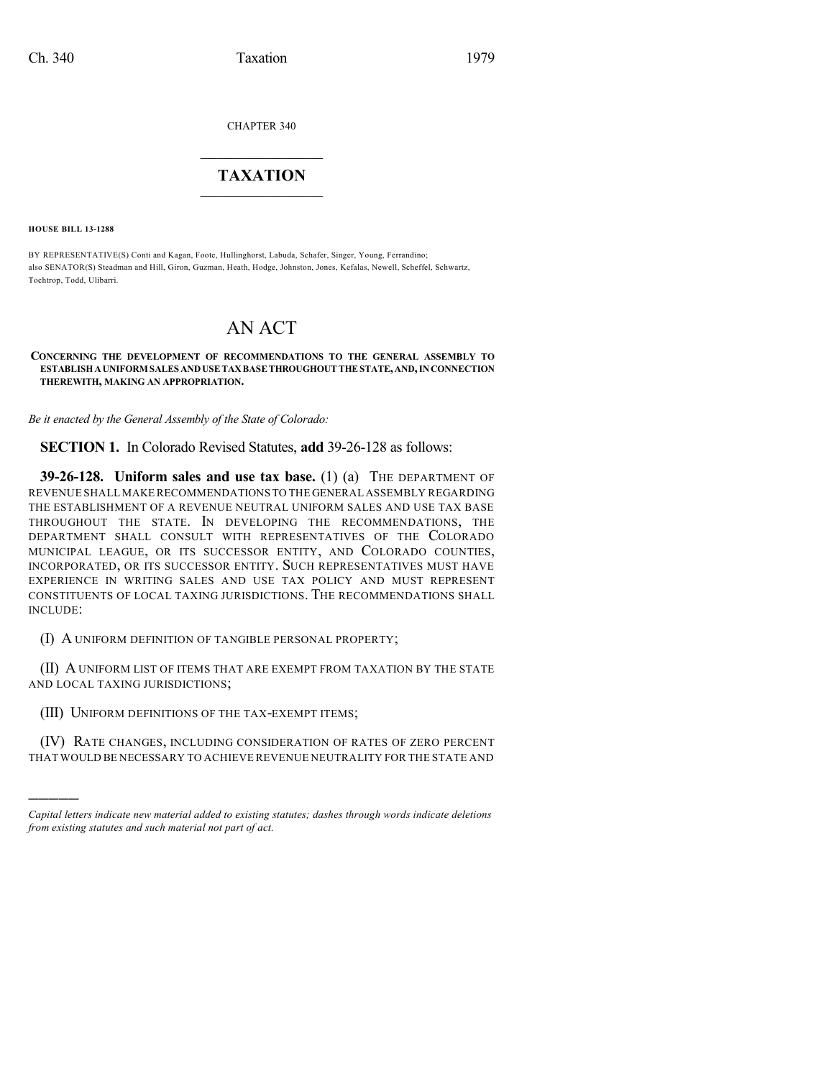CHAPTER 340

## $\overline{\phantom{a}}$  . The set of the set of the set of the set of the set of the set of the set of the set of the set of the set of the set of the set of the set of the set of the set of the set of the set of the set of the set o **TAXATION**  $\_$

**HOUSE BILL 13-1288**

)))))

BY REPRESENTATIVE(S) Conti and Kagan, Foote, Hullinghorst, Labuda, Schafer, Singer, Young, Ferrandino; also SENATOR(S) Steadman and Hill, Giron, Guzman, Heath, Hodge, Johnston, Jones, Kefalas, Newell, Scheffel, Schwartz, Tochtrop, Todd, Ulibarri.

## AN ACT

**CONCERNING THE DEVELOPMENT OF RECOMMENDATIONS TO THE GENERAL ASSEMBLY TO ESTABLISHAUNIFORM SALES ANDUSETAXBASETHROUGHOUT THE STATE,AND,INCONNECTION THEREWITH, MAKING AN APPROPRIATION.**

*Be it enacted by the General Assembly of the State of Colorado:*

**SECTION 1.** In Colorado Revised Statutes, **add** 39-26-128 as follows:

**39-26-128. Uniform sales and use tax base.** (1) (a) THE DEPARTMENT OF REVENUE SHALL MAKE RECOMMENDATIONS TO THE GENERAL ASSEMBLY REGARDING THE ESTABLISHMENT OF A REVENUE NEUTRAL UNIFORM SALES AND USE TAX BASE THROUGHOUT THE STATE. IN DEVELOPING THE RECOMMENDATIONS, THE DEPARTMENT SHALL CONSULT WITH REPRESENTATIVES OF THE COLORADO MUNICIPAL LEAGUE, OR ITS SUCCESSOR ENTITY, AND COLORADO COUNTIES, INCORPORATED, OR ITS SUCCESSOR ENTITY. SUCH REPRESENTATIVES MUST HAVE EXPERIENCE IN WRITING SALES AND USE TAX POLICY AND MUST REPRESENT CONSTITUENTS OF LOCAL TAXING JURISDICTIONS. THE RECOMMENDATIONS SHALL INCLUDE:

(I) A UNIFORM DEFINITION OF TANGIBLE PERSONAL PROPERTY;

(II) A UNIFORM LIST OF ITEMS THAT ARE EXEMPT FROM TAXATION BY THE STATE AND LOCAL TAXING JURISDICTIONS;

(III) UNIFORM DEFINITIONS OF THE TAX-EXEMPT ITEMS;

(IV) RATE CHANGES, INCLUDING CONSIDERATION OF RATES OF ZERO PERCENT THAT WOULD BE NECESSARY TO ACHIEVE REVENUE NEUTRALITY FOR THE STATE AND

*Capital letters indicate new material added to existing statutes; dashes through words indicate deletions from existing statutes and such material not part of act.*